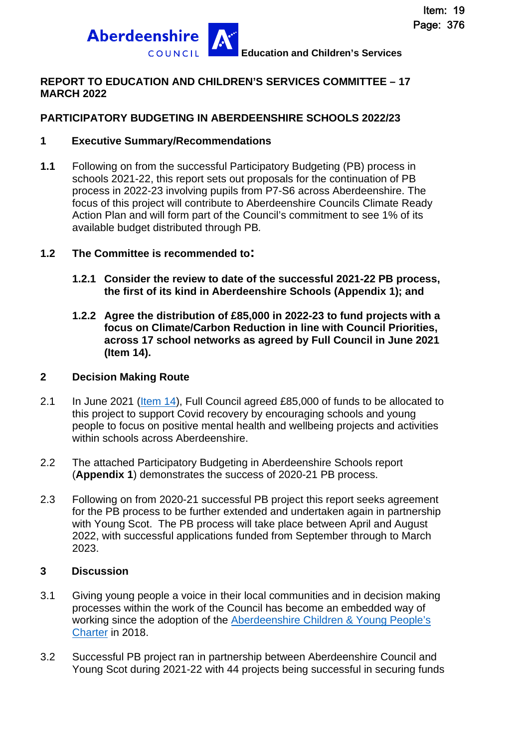

### **REPORT TO EDUCATION AND CHILDREN'S SERVICES COMMITTEE – 17 MARCH 2022**

### **PARTICIPATORY BUDGETING IN ABERDEENSHIRE SCHOOLS 2022/23**

#### **1 Executive Summary/Recommendations**

**1.1** Following on from the successful Participatory Budgeting (PB) process in schools 2021-22, this report sets out proposals for the continuation of PB process in 2022-23 involving pupils from P7-S6 across Aberdeenshire. The focus of this project will contribute to Aberdeenshire Councils Climate Ready Action Plan and will form part of the Council's commitment to see 1% of its available budget distributed through PB*.* 

### **1.2 The Committee is recommended to:**

- **1.2.1 Consider the review to date of the successful 2021-22 PB process, the first of its kind in Aberdeenshire Schools (Appendix 1); and**
- **1.2.2 Agree the distribution of £85,000 in 2022-23 to fund projects with a focus on Climate/Carbon Reduction in line with Council Priorities, across 17 school networks as agreed by Full Council in June 2021 (Item 14).**

#### **2 Decision Making Route**

- 2.1 In June 2021 [\(Item 14](https://committees.aberdeenshire.gov.uk/Committees.aspx?commid=1&meetid=19851)), Full Council agreed £85,000 of funds to be allocated to this project to support Covid recovery by encouraging schools and young people to focus on positive mental health and wellbeing projects and activities within schools across Aberdeenshire.
- 2.2 The attached Participatory Budgeting in Aberdeenshire Schools report (**Appendix 1**) demonstrates the success of 2020-21 PB process.
- 2.3 Following on from 2020-21 successful PB project this report seeks agreement for the PB process to be further extended and undertaken again in partnership with Young Scot. The PB process will take place between April and August 2022, with successful applications funded from September through to March 2023.

#### **3 Discussion**

- 3.1 Giving young people a voice in their local communities and in decision making processes within the work of the Council has become an embedded way of working since the adoption of the [Aberdeenshire Children & Young People's](https://www.girfec-aberdeenshire.org/wp-content/uploads/2020/10/Aberdeenshire-CYP-Charter-website.pdf)  [Charter in 2018.](https://www.girfec-aberdeenshire.org/wp-content/uploads/2020/10/Aberdeenshire-CYP-Charter-website.pdf)
- 3.2 Successful PB project ran in partnership between Aberdeenshire Council and Young Scot during 2021-22 with 44 projects being successful in securing funds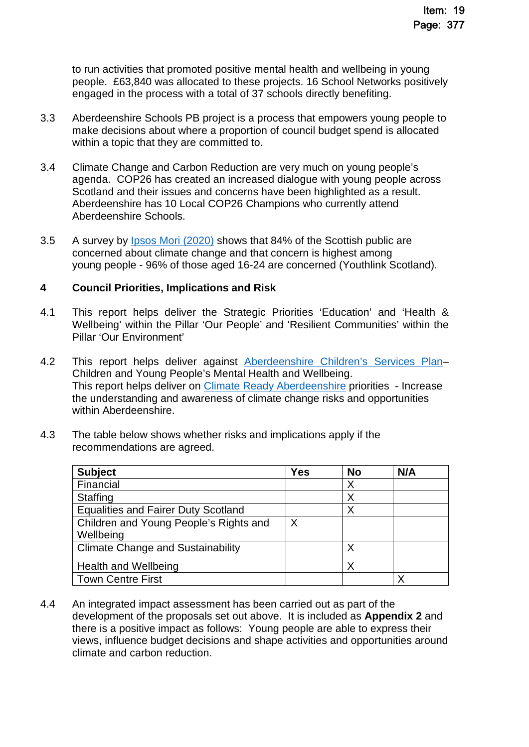to run activities that promoted positive mental health and wellbeing in young people. £63,840 was allocated to these projects. 16 School Networks positively engaged in the process with a total of 37 schools directly benefiting.

- 3.3 Aberdeenshire Schools PB project is a process that empowers young people to make decisions about where a proportion of council budget spend is allocated within a topic that they are committed to.
- 3.4 Climate Change and Carbon Reduction are very much on young people's agenda. COP26 has created an increased dialogue with young people across Scotland and their issues and concerns have been highlighted as a result. Aberdeenshire has 10 Local COP26 Champions who currently attend Aberdeenshire Schools.
- 3.5 A survey by [Ipsos Mori \(2020\)](https://www.ipsos.com/ipsos-mori/en-uk/84-percent-scots-are-concerned-about-climate-change) shows that 84% of the Scottish public are concerned about climate change and that concern is highest among young people - 96% of those aged 16-24 are concerned (Youthlink Scotland).

#### **4 Council Priorities, Implications and Risk**

- 4.1 This report helps deliver the Strategic Priorities 'Education' and 'Health & Wellbeing' within the Pillar 'Our People' and 'Resilient Communities' within the Pillar 'Our Environment'
- 4.2 This report helps deliver against Aberdeenshire Children's Services Plan-Children and Young People's Mental Health and Wellbeing. This report helps deliver on [Climate Ready Aberdeenshire](https://www.aberdeenshire.gov.uk/environment/green-living/climate-ready-aberdeenshire/) priorities - Increase the understanding and awareness of climate change risks and opportunities within Aberdeenshire.
- 4.3 The table below shows whether risks and implications apply if the recommendations are agreed.

| <b>Subject</b>                             | <b>Yes</b> | <b>No</b> | N/A |
|--------------------------------------------|------------|-----------|-----|
| Financial                                  |            | Х         |     |
| <b>Staffing</b>                            |            |           |     |
| <b>Equalities and Fairer Duty Scotland</b> |            |           |     |
| Children and Young People's Rights and     | X          |           |     |
| Wellbeing                                  |            |           |     |
| <b>Climate Change and Sustainability</b>   |            |           |     |
| <b>Health and Wellbeing</b>                |            |           |     |
| <b>Town Centre First</b>                   |            |           |     |

4.4 An integrated impact assessment has been carried out as part of the development of the proposals set out above. It is included as **Appendix 2** and there is a positive impact as follows: Young people are able to express their views, influence budget decisions and shape activities and opportunities around climate and carbon reduction.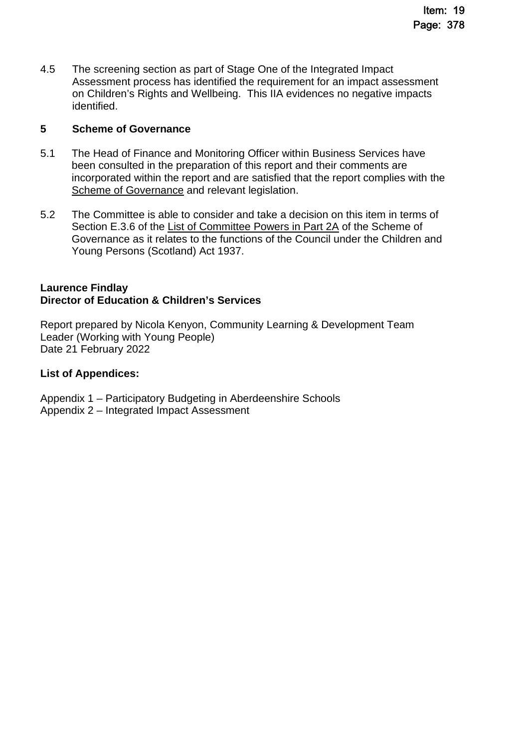4.5 The screening section as part of Stage One of the Integrated Impact Assessment process has identified the requirement for an impact assessment on Children's Rights and Wellbeing. This IIA evidences no negative impacts identified.

#### **5 Scheme of Governance**

- 5.1 The Head of Finance and Monitoring Officer within Business Services have been consulted in the preparation of this report and their comments are incorporated within the report and are satisfied that the report complies with the [Scheme of Governance](https://www.aberdeenshire.gov.uk/council-and-democracy/scheme-of-governance/) and relevant legislation.
- 5.2 The Committee is able to consider and take a decision on this item in terms of Section E.3.6 of the [List of Committee Powers in Part 2A](http://publications.aberdeenshire.gov.uk/dataset/c8044f6f-e327-499f-bbc7-94ae9d699559/resource/8d829bb9-95e7-4c83-bc0b-63b76bcba159/download/list-of-committee-powers.pdf) of the Scheme of Governance as it relates to the functions of the Council under the Children and Young Persons (Scotland) Act 1937.

#### **Laurence Findlay Director of Education & Children's Services**

Report prepared by Nicola Kenyon, Community Learning & Development Team Leader (Working with Young People) Date 21 February 2022

### **List of Appendices:**

Appendix 1 – Participatory Budgeting in Aberdeenshire Schools Appendix 2 – Integrated Impact Assessment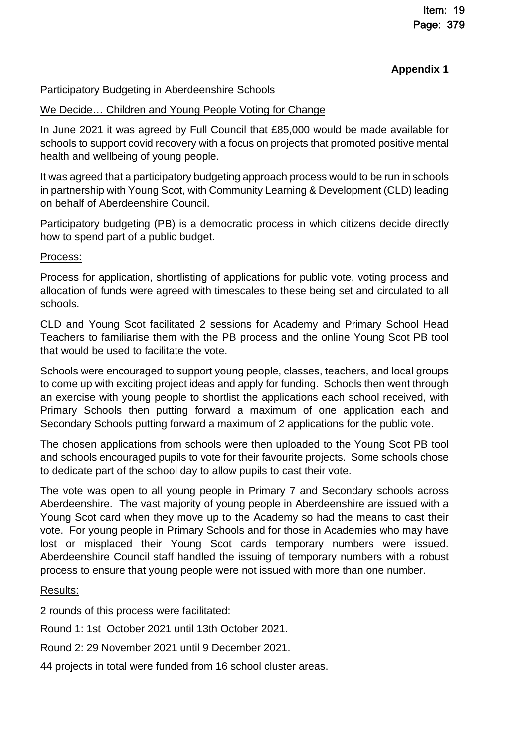### **Appendix 1**

### Participatory Budgeting in Aberdeenshire Schools

### We Decide… Children and Young People Voting for Change

In June 2021 it was agreed by Full Council that £85,000 would be made available for schools to support covid recovery with a focus on projects that promoted positive mental health and wellbeing of young people.

It was agreed that a participatory budgeting approach process would to be run in schools in partnership with Young Scot, with Community Learning & Development (CLD) leading on behalf of Aberdeenshire Council.

Participatory budgeting (PB) is a democratic process in which citizens decide directly how to spend part of a public budget.

### Process:

Process for application, shortlisting of applications for public vote, voting process and allocation of funds were agreed with timescales to these being set and circulated to all schools.

CLD and Young Scot facilitated 2 sessions for Academy and Primary School Head Teachers to familiarise them with the PB process and the online Young Scot PB tool that would be used to facilitate the vote.

Schools were encouraged to support young people, classes, teachers, and local groups to come up with exciting project ideas and apply for funding. Schools then went through an exercise with young people to shortlist the applications each school received, with Primary Schools then putting forward a maximum of one application each and Secondary Schools putting forward a maximum of 2 applications for the public vote.

The chosen applications from schools were then uploaded to the Young Scot PB tool and schools encouraged pupils to vote for their favourite projects. Some schools chose to dedicate part of the school day to allow pupils to cast their vote.

The vote was open to all young people in Primary 7 and Secondary schools across Aberdeenshire. The vast majority of young people in Aberdeenshire are issued with a Young Scot card when they move up to the Academy so had the means to cast their vote. For young people in Primary Schools and for those in Academies who may have lost or misplaced their Young Scot cards temporary numbers were issued. Aberdeenshire Council staff handled the issuing of temporary numbers with a robust process to ensure that young people were not issued with more than one number.

### Results:

2 rounds of this process were facilitated:

Round 1: 1st October 2021 until 13th October 2021.

Round 2: 29 November 2021 until 9 December 2021.

44 projects in total were funded from 16 school cluster areas.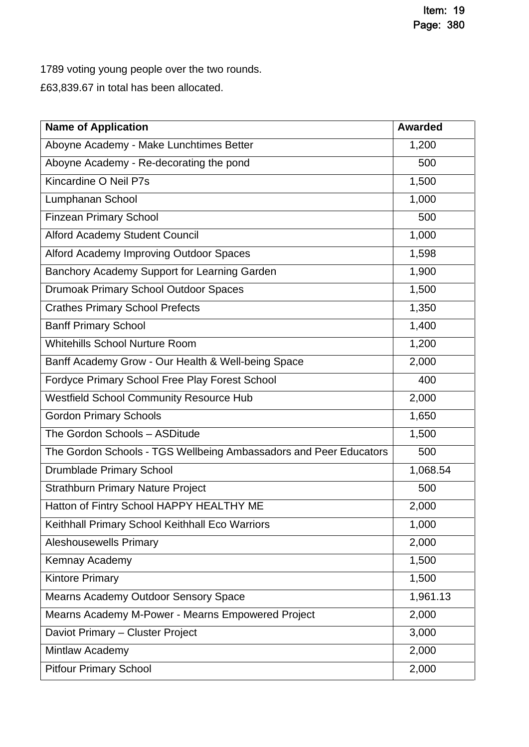1789 voting young people over the two rounds.

£63,839.67 in total has been allocated.

| <b>Name of Application</b>                                        | <b>Awarded</b> |
|-------------------------------------------------------------------|----------------|
| Aboyne Academy - Make Lunchtimes Better                           | 1,200          |
| Aboyne Academy - Re-decorating the pond                           | 500            |
| Kincardine O Neil P7s                                             | 1,500          |
| Lumphanan School                                                  | 1,000          |
| <b>Finzean Primary School</b>                                     | 500            |
| Alford Academy Student Council                                    | 1,000          |
| Alford Academy Improving Outdoor Spaces                           | 1,598          |
| Banchory Academy Support for Learning Garden                      | 1,900          |
| Drumoak Primary School Outdoor Spaces                             | 1,500          |
| <b>Crathes Primary School Prefects</b>                            | 1,350          |
| <b>Banff Primary School</b>                                       | 1,400          |
| <b>Whitehills School Nurture Room</b>                             | 1,200          |
| Banff Academy Grow - Our Health & Well-being Space                | 2,000          |
| Fordyce Primary School Free Play Forest School                    | 400            |
| <b>Westfield School Community Resource Hub</b>                    | 2,000          |
| <b>Gordon Primary Schools</b>                                     | 1,650          |
| The Gordon Schools - ASDitude                                     | 1,500          |
| The Gordon Schools - TGS Wellbeing Ambassadors and Peer Educators | 500            |
| Drumblade Primary School                                          | 1,068.54       |
| <b>Strathburn Primary Nature Project</b>                          | 500            |
| Hatton of Fintry School HAPPY HEALTHY ME                          | 2,000          |
| Keithhall Primary School Keithhall Eco Warriors                   | 1,000          |
| <b>Aleshousewells Primary</b>                                     | 2,000          |
| Kemnay Academy                                                    | 1,500          |
| <b>Kintore Primary</b>                                            | 1,500          |
| Mearns Academy Outdoor Sensory Space                              | 1,961.13       |
| Mearns Academy M-Power - Mearns Empowered Project                 | 2,000          |
| Daviot Primary - Cluster Project                                  | 3,000          |
| Mintlaw Academy                                                   | 2,000          |
| <b>Pitfour Primary School</b>                                     | 2,000          |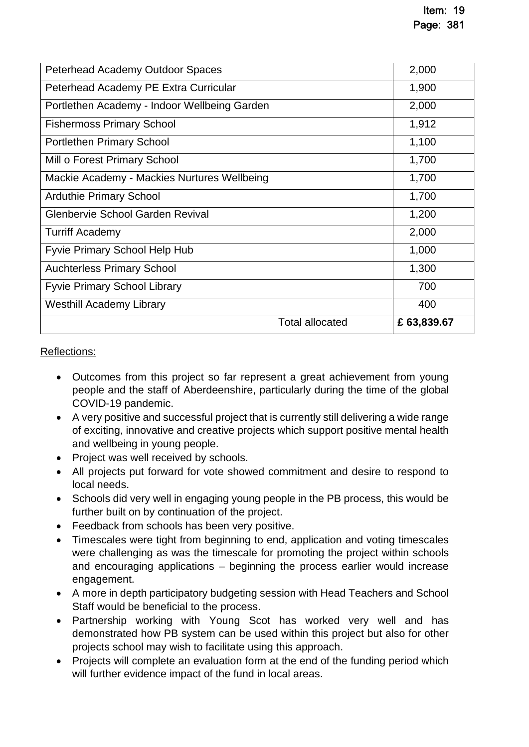| Peterhead Academy Outdoor Spaces             | 2,000       |
|----------------------------------------------|-------------|
| Peterhead Academy PE Extra Curricular        | 1,900       |
| Portlethen Academy - Indoor Wellbeing Garden | 2,000       |
| <b>Fishermoss Primary School</b>             | 1,912       |
| <b>Portlethen Primary School</b>             | 1,100       |
| Mill o Forest Primary School                 | 1,700       |
| Mackie Academy - Mackies Nurtures Wellbeing  | 1,700       |
| <b>Arduthie Primary School</b>               | 1,700       |
| Glenbervie School Garden Revival             | 1,200       |
| <b>Turriff Academy</b>                       | 2,000       |
| <b>Fyvie Primary School Help Hub</b>         | 1,000       |
| <b>Auchterless Primary School</b>            | 1,300       |
| <b>Fyvie Primary School Library</b>          | 700         |
| <b>Westhill Academy Library</b>              | 400         |
| <b>Total allocated</b>                       | £ 63,839.67 |

Reflections:

- Outcomes from this project so far represent a great achievement from young people and the staff of Aberdeenshire, particularly during the time of the global COVID-19 pandemic.
- A very positive and successful project that is currently still delivering a wide range of exciting, innovative and creative projects which support positive mental health and wellbeing in young people.
- Project was well received by schools.
- All projects put forward for vote showed commitment and desire to respond to local needs.
- Schools did very well in engaging young people in the PB process, this would be further built on by continuation of the project.
- Feedback from schools has been very positive.
- Timescales were tight from beginning to end, application and voting timescales were challenging as was the timescale for promoting the project within schools and encouraging applications – beginning the process earlier would increase engagement.
- A more in depth participatory budgeting session with Head Teachers and School Staff would be beneficial to the process.
- Partnership working with Young Scot has worked very well and has demonstrated how PB system can be used within this project but also for other projects school may wish to facilitate using this approach.
- Projects will complete an evaluation form at the end of the funding period which will further evidence impact of the fund in local areas.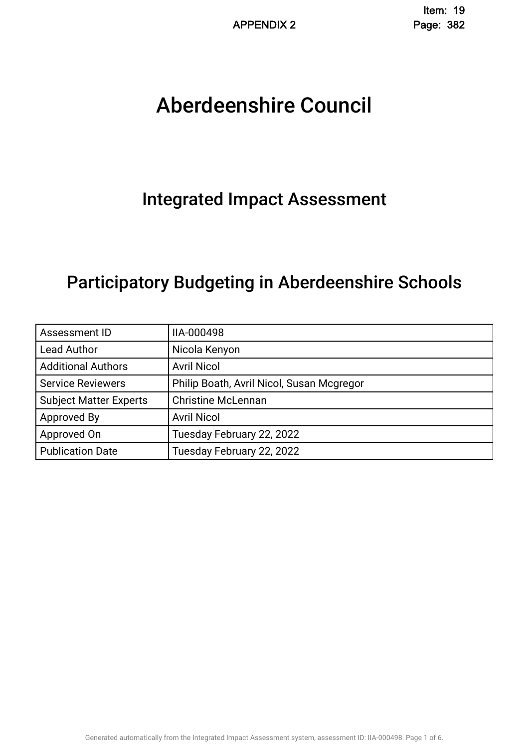# Aberdeenshire Council .

## Integrated Impact Assessment.

## Participatory Budgeting in Aberdeenshire Schools.

| Assessment ID                 | IIA-000498                                |
|-------------------------------|-------------------------------------------|
| <b>Lead Author</b>            | Nicola Kenyon                             |
| <b>Additional Authors</b>     | <b>Avril Nicol</b>                        |
| <b>Service Reviewers</b>      | Philip Boath, Avril Nicol, Susan Mcgregor |
| <b>Subject Matter Experts</b> | <b>Christine McLennan</b>                 |
| Approved By                   | <b>Avril Nicol</b>                        |
| Approved On                   | Tuesday February 22, 2022                 |
| <b>Publication Date</b>       | Tuesday February 22, 2022                 |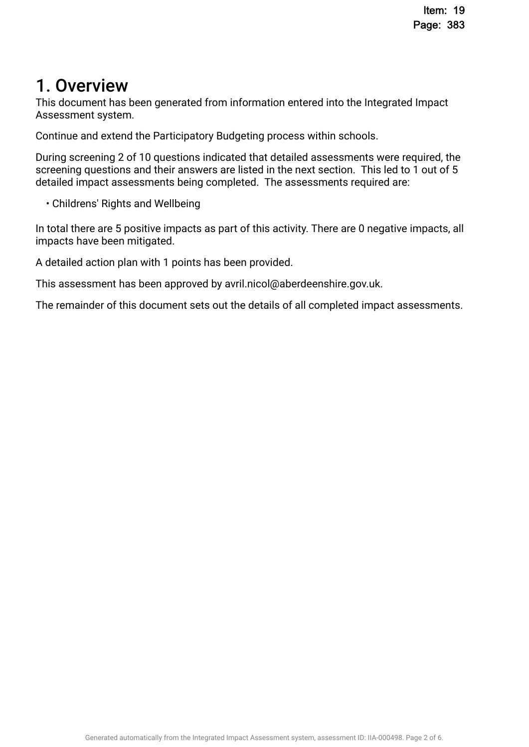## 1. Overview

This document has been generated from information entered into the Integrated Impact Assessment system.

Continue and extend the Participatory Budgeting process within schools.

During screening 2 of 10 questions indicated that detailed assessments were required, the screening questions and their answers are listed in the next section. This led to 1 out of 5 detailed impact assessments being completed. The assessments required are:

• Childrens' Rights and Wellbeing

In total there are 5 positive impacts as part of this activity. There are 0 negative impacts, all impacts have been mitigated.

A detailed action plan with 1 points has been provided.

This assessment has been approved by avril.nicol@aberdeenshire.gov.uk.

The remainder of this document sets out the details of all completed impact assessments.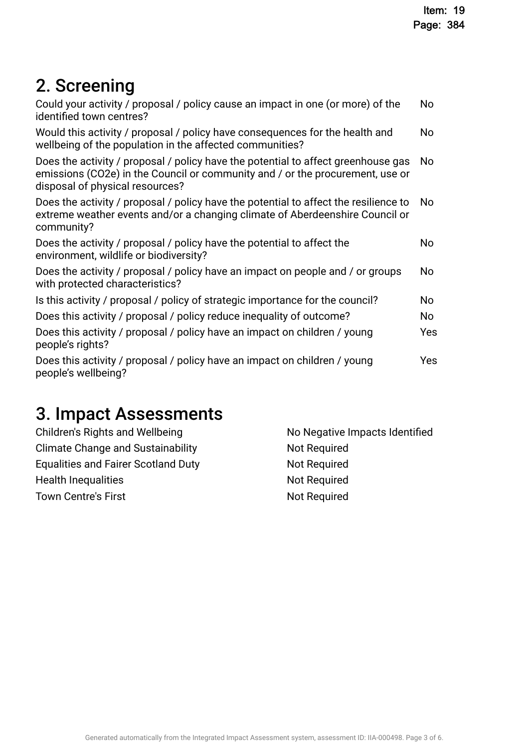## 2. Screening

| No  |
|-----|
| No  |
| No  |
| No  |
| No  |
| No  |
| No  |
| No  |
| Yes |
| Yes |
|     |

## 3. Impact Assessments

| Children's Rights and Wellbeing            | No Negative Impacts Identified |
|--------------------------------------------|--------------------------------|
| <b>Climate Change and Sustainability</b>   | Not Required                   |
| <b>Equalities and Fairer Scotland Duty</b> | <b>Not Required</b>            |
| <b>Health Inequalities</b>                 | <b>Not Required</b>            |
| <b>Town Centre's First</b>                 | <b>Not Required</b>            |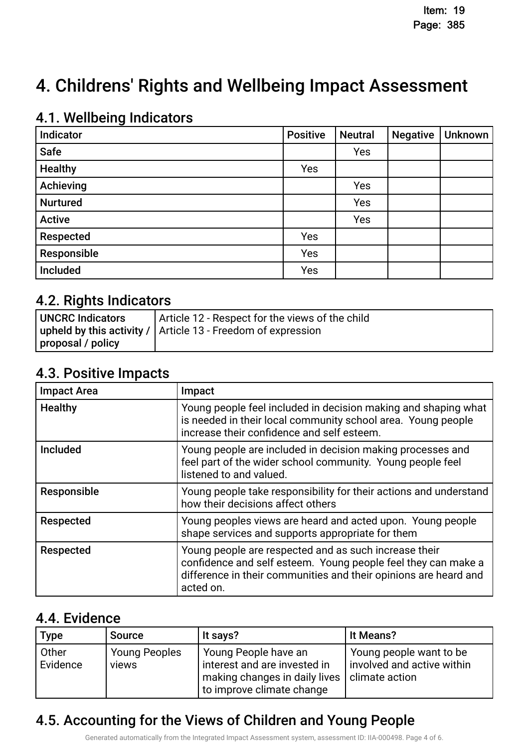## 4. Childrens' Rights and Wellbeing Impact Assessment

### 4.1. Wellbeing Indicators

| Indicator       | <b>Positive</b> | <b>Neutral</b> | <b>Negative</b> | <b>Unknown</b> |
|-----------------|-----------------|----------------|-----------------|----------------|
| <b>Safe</b>     |                 | Yes            |                 |                |
| <b>Healthy</b>  | Yes             |                |                 |                |
| Achieving       |                 | Yes            |                 |                |
| <b>Nurtured</b> |                 | Yes            |                 |                |
| <b>Active</b>   |                 | Yes            |                 |                |
| Respected       | Yes             |                |                 |                |
| Responsible     | Yes             |                |                 |                |
| Included        | Yes             |                |                 |                |

### 4.2. Rights Indicators

| UNCRC Indicators  | Article 12 - Respect for the views of the child                |
|-------------------|----------------------------------------------------------------|
|                   | upheld by this activity /   Article 13 - Freedom of expression |
| proposal / policy |                                                                |

### 4.3. Positive Impacts.

| <b>Impact Area</b> | Impact                                                                                                                                                                                                  |
|--------------------|---------------------------------------------------------------------------------------------------------------------------------------------------------------------------------------------------------|
| <b>Healthy</b>     | Young people feel included in decision making and shaping what<br>is needed in their local community school area. Young people<br>increase their confidence and self esteem.                            |
| <b>Included</b>    | Young people are included in decision making processes and<br>feel part of the wider school community. Young people feel<br>listened to and valued.                                                     |
| Responsible        | Young people take responsibility for their actions and understand<br>how their decisions affect others                                                                                                  |
| Respected          | Young peoples views are heard and acted upon. Young people<br>shape services and supports appropriate for them                                                                                          |
| Respected          | Young people are respected and as such increase their<br>confidence and self esteem. Young people feel they can make a<br>difference in their communities and their opinions are heard and<br>acted on. |

### 4.4. Evidence

| <b>Type</b>       | <b>Source</b>                 | It says?                                                                                                                                          | It Means?                                             |
|-------------------|-------------------------------|---------------------------------------------------------------------------------------------------------------------------------------------------|-------------------------------------------------------|
| Other<br>Evidence | <b>Young Peoples</b><br>views | Young People have an<br>interest and are invested in<br>$\vert$ making changes in daily lives $\vert$ climate action<br>to improve climate change | Young people want to be<br>involved and active within |

## 4.5. Accounting for the Views of Children and Young People

Generated automatically from the Integrated Impact Assessment system, assessment ID: IIA-000498. Page 4 of 6.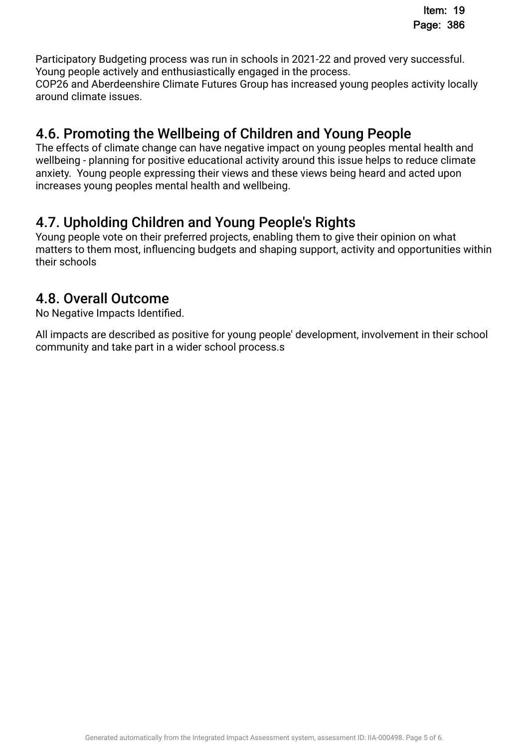Participatory Budgeting process was run in schools in 2021-22 and proved very successful. Young people actively and enthusiastically engaged in the process. COP26 and Aberdeenshire Climate Futures Group has increased young peoples activity locally around climate issues.

### 4.6. Promoting the Wellbeing of Children and Young People.

The effects of climate change can have negative impact on young peoples mental health and wellbeing - planning for positive educational activity around this issue helps to reduce climate anxiety. Young people expressing their views and these views being heard and acted upon increases young peoples mental health and wellbeing.

### 4.7. Upholding Children and Young People's Rights.

Young people vote on their preferred projects, enabling them to give their opinion on what matters to them most, infuencing budgets and shaping support, activity and opportunities within their schools

### 4.8. Overall Outcome.

No Negative Impacts Identifed.

All impacts are described as positive for young people' development, involvement in their school community and take part in a wider school process.s